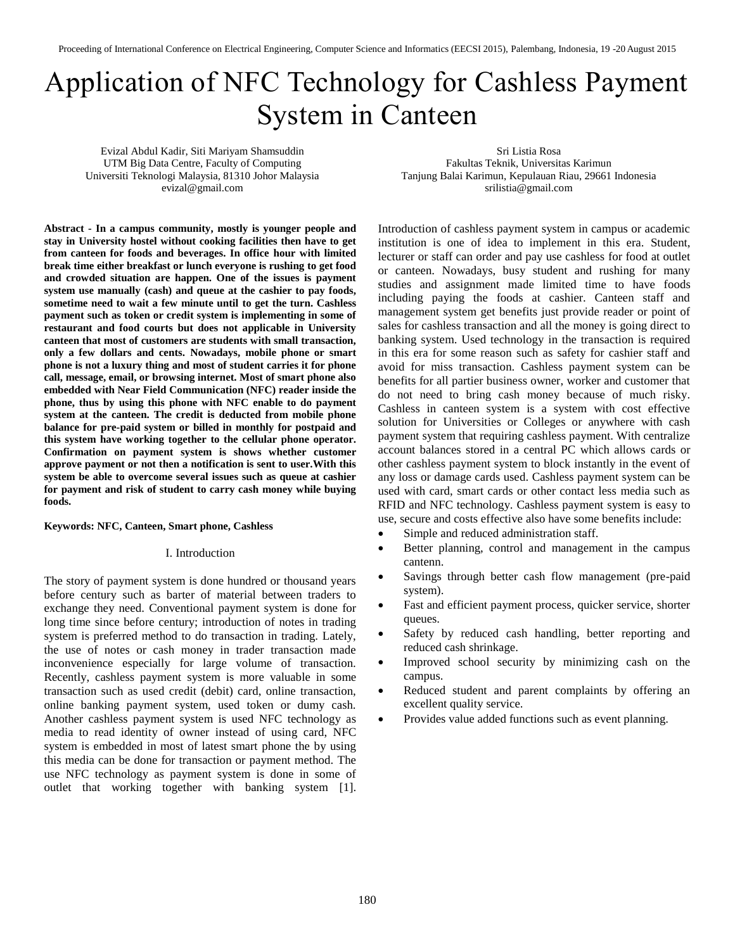# Application of NFC Technology for Cashless Payment System in Canteen

Evizal Abdul Kadir, Siti Mariyam Shamsuddin UTM Big Data Centre, Faculty of Computing Universiti Teknologi Malaysia, 81310 Johor Malaysia evizal@gmail.com

Sri Listia Rosa Fakultas Teknik, Universitas Karimun Tanjung Balai Karimun, Kepulauan Riau, 29661 Indonesia srilistia@gmail.com

**Abstract - In a campus community, mostly is younger people and stay in University hostel without cooking facilities then have to get from canteen for foods and beverages. In office hour with limited break time either breakfast or lunch everyone is rushing to get food and crowded situation are happen. One of the issues is payment system use manually (cash) and queue at the cashier to pay foods, sometime need to wait a few minute until to get the turn. Cashless payment such as token or credit system is implementing in some of restaurant and food courts but does not applicable in University canteen that most of customers are students with small transaction, only a few dollars and cents. Nowadays, mobile phone or smart phone is not a luxury thing and most of student carries it for phone call, message, email, or browsing internet. Most of smart phone also embedded with Near Field Communication (NFC) reader inside the phone, thus by using this phone with NFC enable to do payment system at the canteen. The credit is deducted from mobile phone balance for pre-paid system or billed in monthly for postpaid and this system have working together to the cellular phone operator. Confirmation on payment system is shows whether customer approve payment or not then a notification is sent to user.With this system be able to overcome several issues such as queue at cashier for payment and risk of student to carry cash money while buying foods.**

# **Keywords: NFC, Canteen, Smart phone, Cashless**

#### I. Introduction

The story of payment system is done hundred or thousand years before century such as barter of material between traders to exchange they need. Conventional payment system is done for long time since before century; introduction of notes in trading system is preferred method to do transaction in trading. Lately, the use of notes or cash money in trader transaction made inconvenience especially for large volume of transaction. Recently, cashless payment system is more valuable in some transaction such as used credit (debit) card, online transaction, online banking payment system, used token or dumy cash. Another cashless payment system is used NFC technology as media to read identity of owner instead of using card, NFC system is embedded in most of latest smart phone the by using this media can be done for transaction or payment method. The use NFC technology as payment system is done in some of outlet that working together with banking system [1].

Introduction of cashless payment system in campus or academic institution is one of idea to implement in this era. Student, lecturer or staff can order and pay use cashless for food at outlet or canteen. Nowadays, busy student and rushing for many studies and assignment made limited time to have foods including paying the foods at cashier. Canteen staff and management system get benefits just provide reader or point of sales for cashless transaction and all the money is going direct to banking system. Used technology in the transaction is required in this era for some reason such as safety for cashier staff and avoid for miss transaction. Cashless payment system can be benefits for all partier business owner, worker and customer that do not need to bring cash money because of much risky. Cashless in canteen system is a system with cost effective solution for Universities or Colleges or anywhere with cash payment system that requiring cashless payment. With centralize account balances stored in a central PC which allows cards or other cashless payment system to block instantly in the event of any loss or damage cards used. Cashless payment system can be used with card, smart cards or other contact less media such as RFID and NFC technology. Cashless payment system is easy to use, secure and costs effective also have some benefits include:

- Simple and reduced administration staff.
- Better planning, control and management in the campus cantenn.
- Savings through better cash flow management (pre-paid system).
- Fast and efficient payment process, quicker service, shorter queues.
- Safety by reduced cash handling, better reporting and reduced cash shrinkage.
- Improved school security by minimizing cash on the campus.
- Reduced student and parent complaints by offering an excellent quality service.
- Provides value added functions such as event planning.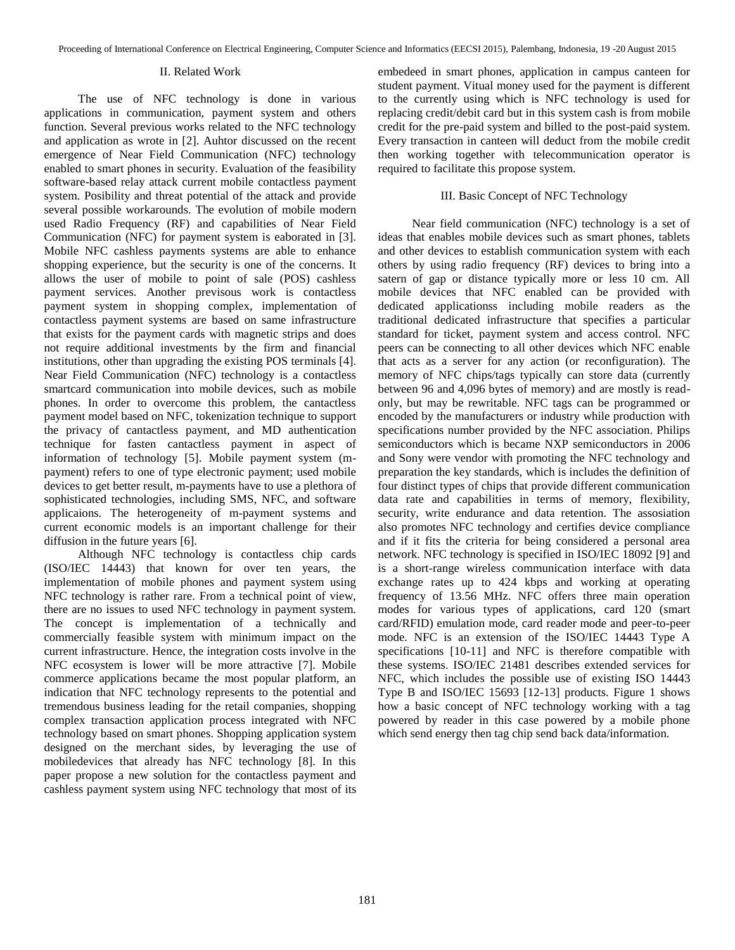## II. Related Work

The use of NFC technology is done in various applications in communication, payment system and others function. Several previous works related to the NFC technology and application as wrote in [2]. Auhtor discussed on the recent emergence of Near Field Communication (NFC) technology enabled to smart phones in security. Evaluation of the feasibility software-based relay attack current mobile contactless payment system. Posibility and threat potential of the attack and provide several possible workarounds. The evolution of mobile modern used Radio Frequency (RF) and capabilities of Near Field Communication (NFC) for payment system is eaborated in [3]. Mobile NFC cashless payments systems are able to enhance shopping experience, but the security is one of the concerns. It allows the user of mobile to point of sale (POS) cashless payment services. Another previsous work is contactless payment system in shopping complex, implementation of contactless payment systems are based on same infrastructure that exists for the payment cards with magnetic strips and does not require additional investments by the firm and financial institutions, other than upgrading the existing POS terminals [4]. Near Field Communication (NFC) technology is a contactless smartcard communication into mobile devices, such as mobile phones. In order to overcome this problem, the cantactless payment model based on NFC, tokenization technique to support the privacy of cantactless payment, and MD authentication technique for fasten cantactless payment in aspect of information of technology [5]. Mobile payment system (mpayment) refers to one of type electronic payment; used mobile devices to get better result, m-payments have to use a plethora of sophisticated technologies, including SMS, NFC, and software applicaions. The heterogeneity of m-payment systems and current economic models is an important challenge for their diffusion in the future years [6].

Although NFC technology is contactless chip cards (ISO/IEC 14443) that known for over ten years, the implementation of mobile phones and payment system using NFC technology is rather rare. From a technical point of view, there are no issues to used NFC technology in payment system. The concept is implementation of a technically and commercially feasible system with minimum impact on the current infrastructure. Hence, the integration costs involve in the NFC ecosystem is lower will be more attractive [7]. Mobile commerce applications became the most popular platform, an indication that NFC technology represents to the potential and tremendous business leading for the retail companies, shopping complex transaction application process integrated with NFC technology based on smart phones. Shopping application system designed on the merchant sides, by leveraging the use of mobiledevices that already has NFC technology [8]. In this paper propose a new solution for the contactless payment and cashless payment system using NFC technology that most of its embedeed in smart phones, application in campus canteen for student payment. Vitual money used for the payment is different to the currently using which is NFC technology is used for replacing credit/debit card but in this system cash is from mobile credit for the pre-paid system and billed to the post-paid system. Every transaction in canteen will deduct from the mobile credit then working together with telecommunication operator is required to facilitate this propose system.

# III. Basic Concept of NFC Technology

Near field communication (NFC) technology is a set of ideas that enables mobile devices such as smart phones, tablets and other devices to establish communication system with each others by using radio frequency (RF) devices to bring into a satern of gap or distance typically more or less 10 cm. All mobile devices that NFC enabled can be provided with dedicated applicationss including mobile readers as the traditional dedicated infrastructure that specifies a particular standard for ticket, payment system and access control. NFC peers can be connecting to all other devices which NFC enable that acts as a server for any action (or reconfiguration). The memory of NFC chips/tags typically can store data (currently between 96 and 4,096 bytes of memory) and are mostly is readonly, but may be rewritable. NFC tags can be programmed or encoded by the manufacturers or industry while production with specifications number provided by the NFC association. Philips semiconductors which is became NXP semiconductors in 2006 and Sony were vendor with promoting the NFC technology and preparation the key standards, which is includes the definition of four distinct types of chips that provide different communication data rate and capabilities in terms of memory, flexibility, security, write endurance and data retention. The assosiation also promotes NFC technology and certifies device compliance and if it fits the criteria for being considered a personal area network. NFC technology is specified in ISO/IEC 18092 [9] and is a short-range wireless communication interface with data exchange rates up to 424 kbps and working at operating frequency of 13.56 MHz. NFC offers three main operation modes for various types of applications, card 120 (smart card/RFID) emulation mode, card reader mode and peer-to-peer mode. NFC is an extension of the ISO/IEC 14443 Type A specifications [10-11] and NFC is therefore compatible with these systems. ISO/IEC 21481 describes extended services for NFC, which includes the possible use of existing ISO 14443 Type B and ISO/IEC 15693 [12-13] products. Figure 1 shows how a basic concept of NFC technology working with a tag powered by reader in this case powered by a mobile phone which send energy then tag chip send back data/information.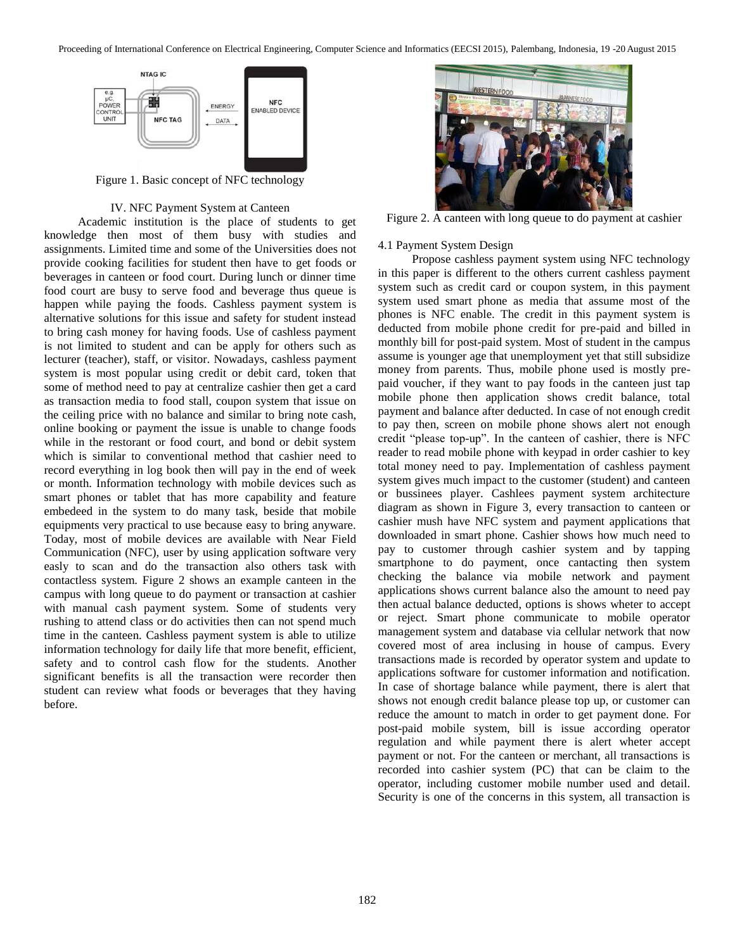

Figure 1. Basic concept of NFC technology

# IV. NFC Payment System at Canteen

Academic institution is the place of students to get knowledge then most of them busy with studies and assignments. Limited time and some of the Universities does not provide cooking facilities for student then have to get foods or beverages in canteen or food court. During lunch or dinner time food court are busy to serve food and beverage thus queue is happen while paying the foods. Cashless payment system is alternative solutions for this issue and safety for student instead to bring cash money for having foods. Use of cashless payment is not limited to student and can be apply for others such as lecturer (teacher), staff, or visitor. Nowadays, cashless payment system is most popular using credit or debit card, token that some of method need to pay at centralize cashier then get a card as transaction media to food stall, coupon system that issue on the ceiling price with no balance and similar to bring note cash, online booking or payment the issue is unable to change foods while in the restorant or food court, and bond or debit system which is similar to conventional method that cashier need to record everything in log book then will pay in the end of week or month. Information technology with mobile devices such as smart phones or tablet that has more capability and feature embedeed in the system to do many task, beside that mobile equipments very practical to use because easy to bring anyware. Today, most of mobile devices are available with Near Field Communication (NFC), user by using application software very easly to scan and do the transaction also others task with contactless system. Figure 2 shows an example canteen in the campus with long queue to do payment or transaction at cashier with manual cash payment system. Some of students very rushing to attend class or do activities then can not spend much time in the canteen. Cashless payment system is able to utilize information technology for daily life that more benefit, efficient, safety and to control cash flow for the students. Another significant benefits is all the transaction were recorder then student can review what foods or beverages that they having before.



Figure 2. A canteen with long queue to do payment at cashier

## 4.1 Payment System Design

Propose cashless payment system using NFC technology in this paper is different to the others current cashless payment system such as credit card or coupon system, in this payment system used smart phone as media that assume most of the phones is NFC enable. The credit in this payment system is deducted from mobile phone credit for pre-paid and billed in monthly bill for post-paid system. Most of student in the campus assume is younger age that unemployment yet that still subsidize money from parents. Thus, mobile phone used is mostly prepaid voucher, if they want to pay foods in the canteen just tap mobile phone then application shows credit balance, total payment and balance after deducted. In case of not enough credit to pay then, screen on mobile phone shows alert not enough credit "please top-up". In the canteen of cashier, there is NFC reader to read mobile phone with keypad in order cashier to key total money need to pay. Implementation of cashless payment system gives much impact to the customer (student) and canteen or bussinees player. Cashlees payment system architecture diagram as shown in Figure 3, every transaction to canteen or cashier mush have NFC system and payment applications that downloaded in smart phone. Cashier shows how much need to pay to customer through cashier system and by tapping smartphone to do payment, once cantacting then system checking the balance via mobile network and payment applications shows current balance also the amount to need pay then actual balance deducted, options is shows wheter to accept or reject. Smart phone communicate to mobile operator management system and database via cellular network that now covered most of area inclusing in house of campus. Every transactions made is recorded by operator system and update to applications software for customer information and notification. In case of shortage balance while payment, there is alert that shows not enough credit balance please top up, or customer can reduce the amount to match in order to get payment done. For post-paid mobile system, bill is issue according operator regulation and while payment there is alert wheter accept payment or not. For the canteen or merchant, all transactions is recorded into cashier system (PC) that can be claim to the operator, including customer mobile number used and detail. Security is one of the concerns in this system, all transaction is